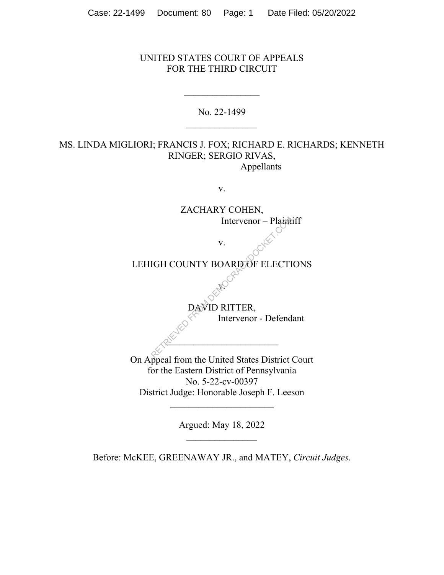## UNITED STATES COURT OF APPEALS FOR THE THIRD CIRCUIT

No. 22-1499

## MS. LINDA MIGLIORI; FRANCIS J. FOX; RICHARD E. RICHARDS; KENNETH RINGER; SERGIO RIVAS, Appellants

v.

ZACHARY COHEN, Intervenor – Plaintiff v. LEHIGH COUNTY BOARD OF ELECTIONS v. DAVID RITTER, Intervenor - Defendant  $2^{\mathcal{N}}$ On Appeal from the United States District Court for the Eastern District of Pennsylvania No. 5-22-cv-00397 District Judge: Honorable Joseph F. Leeson  $\overline{\phantom{a}}$  , where  $\overline{\phantom{a}}$ Intervenor – Plaint

Argued: May 18, 2022

Before: McKEE, GREENAWAY JR., and MATEY, *Circuit Judges*.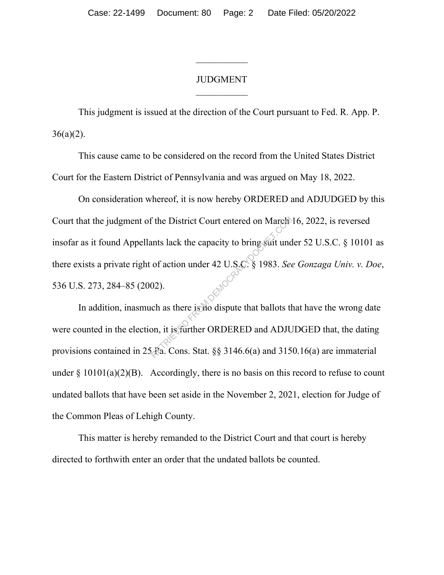## JUDGMENT

 $\frac{1}{2}$ 

This judgment is issued at the direction of the Court pursuant to Fed. R. App. P.  $36(a)(2)$ .

This cause came to be considered on the record from the United States District Court for the Eastern District of Pennsylvania and was argued on May 18, 2022.

On consideration whereof, it is now hereby ORDERED and ADJUDGED by this Court that the judgment of the District Court entered on March 16, 2022, is reversed insofar as it found Appellants lack the capacity to bring suit under 52 U.S.C. § 10101 as there exists a private right of action under 42 U.S.C. § 1983. *See Gonzaga Univ. v. Doe*, 536 U.S. 273, 284–85 (2002). The District Court entered on March<br>ants lack the capacity to bring strit und<br>of action under 42 U.S.C. § 1983. See<br>02).<br>ch as there is no dispute that ballots th<br>on, it is further ORDERED and ADJU<br>Fa. Cons. Stat. §§ 3146.

In addition, inasmuch as there is no dispute that ballots that have the wrong date were counted in the election, it is further ORDERED and ADJUDGED that, the dating provisions contained in 25 Pa. Cons. Stat. §§ 3146.6(a) and 3150.16(a) are immaterial under  $\S 10101(a)(2)(B)$ . Accordingly, there is no basis on this record to refuse to count undated ballots that have been set aside in the November 2, 2021, election for Judge of the Common Pleas of Lehigh County.

This matter is hereby remanded to the District Court and that court is hereby directed to forthwith enter an order that the undated ballots be counted.